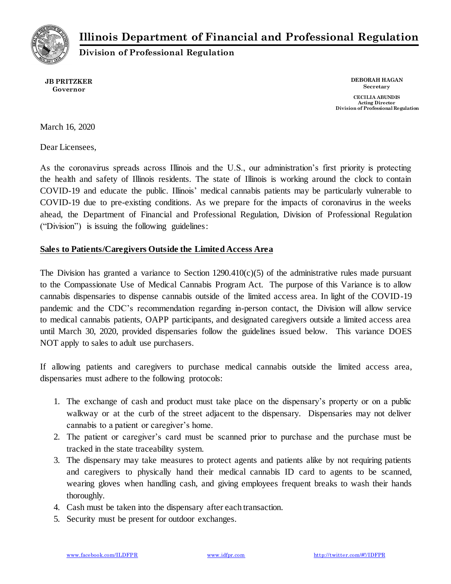**Illinois Department of Financial and Professional Regulation**



**Division of Professional Regulation**

**JB PRITZKER Governor**

**DEBORAH HAGAN Secretary**

**CECILIA ABUNDIS Acting Director Division of Professional Regulation**

March 16, 2020

Dear Licensees,

As the coronavirus spreads across Illinois and the U.S., our administration's first priority is protecting the health and safety of Illinois residents. The state of Illinois is working around the clock to contain COVID-19 and educate the public. Illinois' medical cannabis patients may be particularly vulnerable to COVID-19 due to pre-existing conditions. As we prepare for the impacts of coronavirus in the weeks ahead, the Department of Financial and Professional Regulation, Division of Professional Regulation ("Division") is issuing the following guidelines:

#### **Sales to Patients/Caregivers Outside the Limited Access Area**

The Division has granted a variance to Section  $1290.410(c)(5)$  of the administrative rules made pursuant to the Compassionate Use of Medical Cannabis Program Act. The purpose of this Variance is to allow cannabis dispensaries to dispense cannabis outside of the limited access area. In light of the COVID-19 pandemic and the CDC's recommendation regarding in-person contact, the Division will allow service to medical cannabis patients, OAPP participants, and designated caregivers outside a limited access area until March 30, 2020, provided dispensaries follow the guidelines issued below. This variance DOES NOT apply to sales to adult use purchasers.

If allowing patients and caregivers to purchase medical cannabis outside the limited access area, dispensaries must adhere to the following protocols:

- 1. The exchange of cash and product must take place on the dispensary's property or on a public walkway or at the curb of the street adjacent to the dispensary. Dispensaries may not deliver cannabis to a patient or caregiver's home.
- 2. The patient or caregiver's card must be scanned prior to purchase and the purchase must be tracked in the state traceability system.
- 3. The dispensary may take measures to protect agents and patients alike by not requiring patients and caregivers to physically hand their medical cannabis ID card to agents to be scanned, wearing gloves when handling cash, and giving employees frequent breaks to wash their hands thoroughly.
- 4. Cash must be taken into the dispensary after each transaction.
- 5. Security must be present for outdoor exchanges.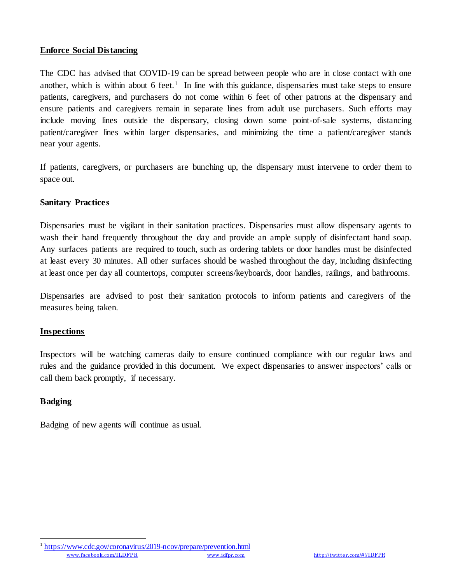## **Enforce Social Distancing**

The CDC has advised that COVID-19 can be spread between people who are in close contact with one another, which is within about 6 feet.<sup>1</sup> In line with this guidance, dispensaries must take steps to ensure patients, caregivers, and purchasers do not come within 6 feet of other patrons at the dispensary and ensure patients and caregivers remain in separate lines from adult use purchasers. Such efforts may include moving lines outside the dispensary, closing down some point-of-sale systems, distancing patient/caregiver lines within larger dispensaries, and minimizing the time a patient/caregiver stands near your agents.

If patients, caregivers, or purchasers are bunching up, the dispensary must intervene to order them to space out.

## **Sanitary Practices**

Dispensaries must be vigilant in their sanitation practices. Dispensaries must allow dispensary agents to wash their hand frequently throughout the day and provide an ample supply of disinfectant hand soap. Any surfaces patients are required to touch, such as ordering tablets or door handles must be disinfected at least every 30 minutes. All other surfaces should be washed throughout the day, including disinfecting at least once per day all countertops, computer screens/keyboards, door handles, railings, and bathrooms.

Dispensaries are advised to post their sanitation protocols to inform patients and caregivers of the measures being taken.

#### **Inspections**

Inspectors will be watching cameras daily to ensure continued compliance with our regular laws and rules and the guidance provided in this document. We expect dispensaries to answer inspectors' calls or call them back promptly, if necessary.

# **Badging**

Badging of new agents will continue as usual.

[www.facebook.com/ILDFPR](https://www.facebook.com/ILDFPR) [www.idfpr.com](http://www.idfpr.com/) <http://twitter.com/#!/IDFPR> l 1 <https://www.cdc.gov/coronavirus/2019-ncov/prepare/prevention.html>